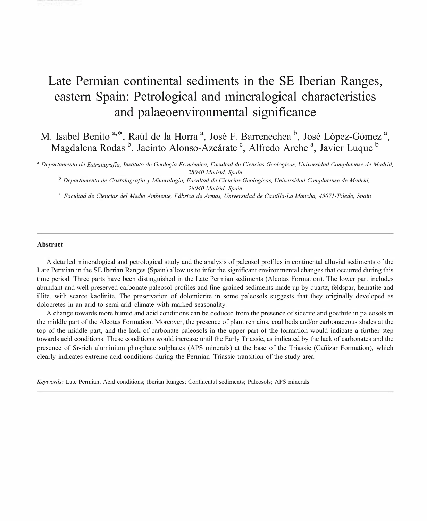# Late Permian continental sediments in the SE Iberian Ranges, eastern Spain: Petrological and mineralogical characteristics and palaeoenvironmental significance

M. Isabel Benito<sup>a,\*</sup>, Raúl de la Horra<sup>a</sup>, José F. Barrenechea<sup>b</sup>, José López-Gómez<sup>a</sup>, Magdalena Rodas<sup>b</sup>, Jacinto Alonso-Azcárate<sup>c</sup>, Alfredo Arche<sup>a</sup>, Javier Luque<sup>b</sup>

<sup>a</sup> Departamento de Estratigrafía, Instituto de Geología Económica, Facultad de Ciencias Geológicas, Universidad Complutense de Madrid, 28040-Madrid. Spain

<sup>b</sup> Departamento de Cristalografía y Mineralogía, Facultad de Ciencias Geológicas, Universidad Complutense de Madrid, 28040-Madrid. Spain

<sup>c</sup> Facultad de Ciencias del Medio Ambiente, Fábrica de Armas, Universidad de Castilla-La Mancha, 45071-Toledo, Spain

## Abstract

A detailed mineralogical and petrological study and the analysis of paleosol profiles in continental alluvial sediments of the Late Permian in the SE Iberian Ranges (Spain) allow us to infer the significant environmental changes that occurred during this time period. Three parts have been distinguished in the Late Permian sediments (Alcotas Formation). The lower part includes abundant and well-preserved carbonate paleosol profiles and fine-grained sediments made up by quartz, feldspar, hematite and illite, with scarce kaolinite. The preservation of dolomicrite in some paleosols suggests that they originally developed as dolocretes in an arid to semi-arid climate with marked seasonality.

A change towards more humid and acid conditions can be deduced from the presence of siderite and goethite in paleosols in the middle part of the Alcotas Formation. Moreover, the presence of plant remains, coal beds and/or carbonaceous shales at the top of the middle part, and the lack of carbonate paleosols in the upper part of the formation would indicate a further step towards acid conditions. These conditions would increase until the Early Triassic, as indicated by the lack of carbonates and the presence of Sr-rich aluminium phosphate sulphates (APS minerals) at the base of the Triassic (Cafiizar Formation), which clearly indicates extreme acid conditions during the Permian-Triassic transition of the study area.

Keywords: Late Permian; Acid conditions; Iberian Ranges; Continental sediments; Paleosols; APS minerals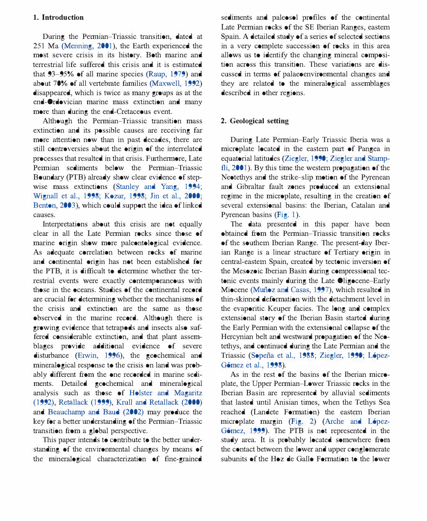# 1. Introduction

During the Permian-Triassic transition, dated at 251 Ma (Menning, 2001), the Earth experienced the most severe crisis in its history. Both marine and terrestrial life suffered this crisis and it is estimated that 93-95% of all marine species (Raup, 1979) and about 70% of all vertebmte families (Maxwell, 1992) disappeared, which is twice as many groups as at the end-Ordovician marine mass extinction and many more than during the end-Cretaceous event.

Although the Permian-Triassic transition mass extinction and its possible causes are receiving far more attention now than in past decades, there are still controversies about the origin of the interrelated processes that resulted in that crisis. Furthermore, Late Permian sediments below the Permian-Triassic Boundary (PTB) already show clear evidence of stepwise mass extinctions (Stanley and Yang, 1994; Wignall et al., 1998; Kozur, 1998; Jin et al., 2000; Benton, 2003), which could support the idea of linked causes.

Interpretations about this crisis are not equally clear in all the Late Permian rocks since those of marine origin show more paleontological evidence. As adequate correlation between rocks of marine and continental origin has not been established for the PTB, it is difficult to determine whether the terrestrial events were exactly contemporaneous with those in the oceans. Studies of the continental record are crucial for determining whether the mechanisms of the crisis and extinction are the same as those observed in the marine record. Although there is growing evidence that tetrapods and insects also suffered considerable extinction, and that plant assemblages provide additional evidence of severe disturbance (Erwin, 1996), the geochemical and mineralo gical response to the crisis on land was probably different from the one recorded in marine sediments. Detailed geochemical and mineralogical analysis such as those of Holster and Magaritz (1992), Retallack (1999), Krull and Retallack (2000) and Beauchamp and Baud (2002) may produce the key for a better understanding of the Permian-Triassic transition from a global perspective.

This paper intends to contribute to the better understanding of the environmental changes by means of the mineralogical characterization of fine-grained

sediments and paleosol profiles of the continental Late Permian rocks of the SE Iberian Ranges, eastern Spain. A detailed study of a series of selected sections in a very complete succession of rocks in this area allows us to identify the changing mineral composition across this transition. These variations are discussed in terms of palaeoenvironmental changes and they are related to the mineralogical assemblages described in other regions.

# 2. Geological setting

During Late Permian-Early Triassic Iberia was a microplate located in the eastern part of Pangea in equatorial latitudes (Ziegler, 1990; Ziegler and Stampfli, 2001). By this time the western propagation of the Neotethys and the strike-slip motion of the Pyrenean and Gibraltar fault zones produced an extensional regime in the microplate, resulting in the creation of several extensional basins: the Iberian, Catalan and Pyrenean basins (Fig. 1).

The data presented in this paper have been obtained from the Permian-Triassic transition rocks of the southern Iberian Range. The present-day iberian Range is a linear structure of Tertiary origin in central-eastern Spain, created by tectonic inversion of the Mesozoic Iberian Basin during compressional tectonic events mainly during the Late Oligocene-Early Miocene (Muñoz and Casas, 1997), which resulted in thin-skinned deformation with the detachment level in the evaporitic Keuper facies. The long and complex extensional story of the Iberian Basin started during the Early Permian with the extensional collapse of the Hercynian belt and westward propagation of the Neotethys, and continued during the Late Permian and the Triassic (Sopeña et al., 1988; Ziegler, 1990; López-G6mez et aI., 1998).

As in the rest of the basins of the Iberian microplate, the Upper Permian-Lower Triassic rocks in the Iberian Basin are represented by alluvial sediments that lasted until Anisian times, when the Tethys Sea reached (Landete Formation) the eastern Iberian microplate margin (Fig. 2) (Arche and López-G6mez, 1999). The PTB is not represented in the study area. It is probably located somewhere from the contact between the lower and upper conglomerate subunits of the Hoz de Gallo Formation to the lower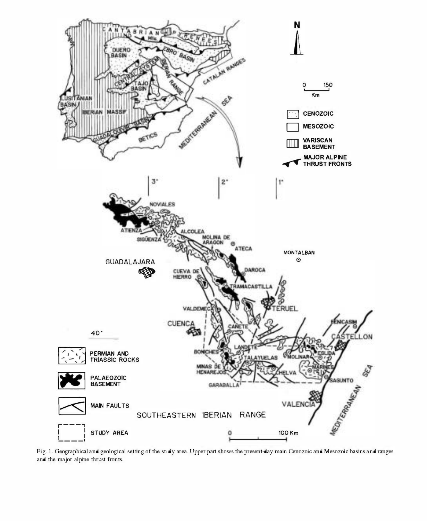

Fig. 1. Geographical and geological setting of the study area. Upper part shows the present-day main Cenozoic and Mesozoic basins and ranges and the major alpine thrust fronts.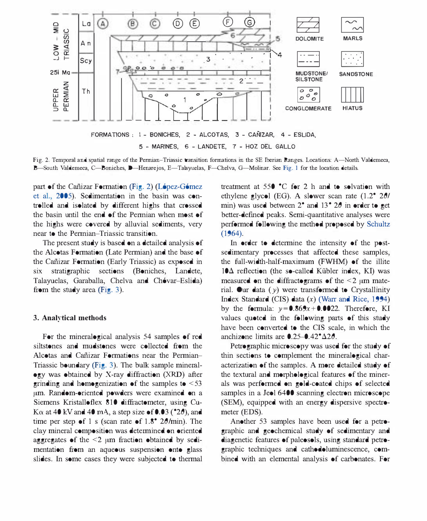

Fig. 2. Temporal and spatial range of the Permian-Triassic transition formations in the SE Iberian Ranges. Locations: A—North Valdemeca, **B**—South Valdemeca, C—Boniches, **D**—Henarejos, E—Talayuelas, F—Chelva, G—Molinar. See Fig. 1 for the location details.

part of the Cañizar Formation (Fig. 2) (López-Gómez et al., 2005). Sedimentation in the basin was controlled and isolated by different highs that crossed the basin until the end of the Permian when most of the highs were covered by alluvial sediments, very near to the Permian-Triassic transition.

The present study is based on a detailed analysis of the Alcotas Formation (Late Permian) and the base of the Cañizar Formation (Early Triassic) as exposed in stratigraphic sections (Boniches, Landete, six Talayuelas, Garaballa, Chelva and Chévar-Eslida) from the study area (Fig. 3).

#### 3. Analytical methods

For the mineralogical analysis 54 samples of red siltstones and mudstones were collected from the Alcotas and Cañizar Formations near the Permian-Triassic boundary (Fig. 3). The bulk sample mineralogy was obtained by X-ray diffraction (XRD) after grinding and homogenization of the samples to  $\leq 53$ um. Random-oriented powders were examined on a Siemens Kristalloflex 810 diffractometer, using Cu-K $\alpha$  at 40 kV and 40 mA, a step size of 0.03 ( $2\theta$ ), and time per step of 1 s (scan rate of  $1.8^{\circ}$  20/min). The clay mineral composition was determined on oriented aggregates of the  $\leq$   $2 \mu m$  fraction obtained by sedimentation from an aqueous suspension onto glass slides. In some cases they were subjected to thermal treatment at  $550 °C$  for 2 h and to solvation with ethylene glycol (EG). A slower scan rate (1.2° 20/ min) was used between  $2^{\circ}$  and  $13^{\circ}$   $2\theta$  in order to get better-defined peaks. Semi-quantitative analyses were performed following the method proposed by Schultz  $(1964).$ 

In order to determine the intensity of the postsedimentary processes that affected these samples, the full-width-half-maximum (FWHM) of the illite 10 A reflection (the so-called Kübler index, KI) was measured on the diffractograms of the  $\leq$   $2 \mu m$  material. Our data  $(y)$  were transformed to Crystallinity Index Standard (CIS) data  $(x)$  (Warr and Rice, 1994) by the formula:  $v = 0.869x + 0.0022$ . Therefore, KI values quoted in the following parts of this study have been converted to the CIS scale, in which the anchizone limits are  $0.25-0.42^{\circ} \Delta 20$ .

Petrographic microscopy was used for the study of thin sections to complement the mineralogical characterization of the samples. A more detailed study of the textural and morphological features of the minerals was performed on gold-coated chips of selected samples in a Jeol 6400 scanning electron microscope (SEM), equipped with an energy dispersive spectrometer (EDS).

Another 53 samples have been used for a petrographic and geochemical study of sedimentary and diagenetic features of paleosols, using standard petrographic techniques and cathodoluminescence, combined with an elemental analysis of carbonates. For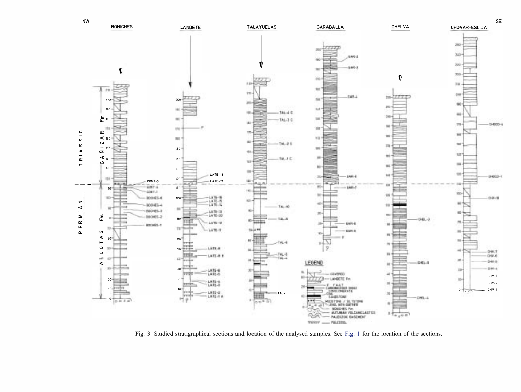

Fig. 3. Studied stratigraphical sections and location of the analysed samples. See Fig. 1 for the location of the sections.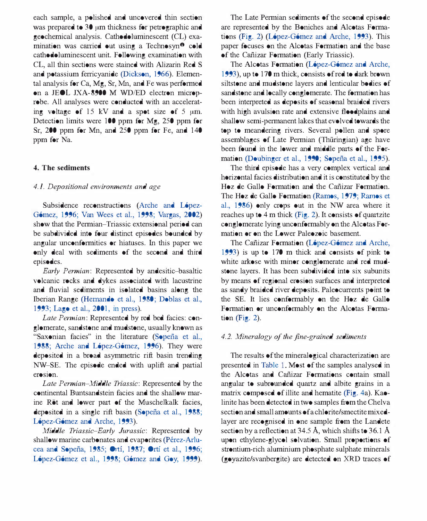each sample, a polished and uncovered thin section was prepared to  $30 \text{ µm}$  thickness for petrographic and geochemical analysis. Cathodoluminescent (CL) examination was carried out using a Technosyn<sup>®</sup> cold cathodoluminescent unit. Following examination with CL, all thin sections were stained with Alizarin Red S and potassium ferricyanide (Dickson, 1966). Elemental analysis for Ca, Mg, Sr, Mn, and Fe was performed on a JEOL JXA-8900 M WD/ED electron microprobe. All analyses were conducted with an accelerating voltage of  $15 \text{ kV}$  and a spot size of  $5 \text{ }\mu\text{m}$ . Detection limits were 100 ppm for Mg, 250 ppm for Sr, 200 ppm for Mn, and 2S0 ppm for Fe, and 140 ppm for Na.

# 4. The sediments

# 4.1. Depositional environments and age

Subsidence reconstructions (Arche and López-G6mez, 1996; Van Wees et aI., 1998; Vargas, 2002) show that the Permian-Triassic extensional period can be subdivided into four distinct episodes bounded by angular unconformities or hiatuses. In this paper we only deal with sediments of the second and third episodes.

Early Permian: Represented by andesitic-basaltic volcanic rocks and dykes associated with lacustrine and fluvial sediments in isolated basins along the Iberian Range (Hemando et aI., 1980; Doblas et aI., 1993; Lago et aI., 2001, in press).

Late Permian: Represented by red bed facies: conglomerate, sandstone and mudstone, usually known as "Saxonian facies" in the literature (Sopefia et aI., 1988; Arche and López-Gómez, 1996). They were deposited in a broad asymmetric rift basin trending NW-SE. The episode ended with uplift and partial erosion.

Late Permian-Middle Triassic: Represented by the continental Buntsandstein facies and the shallow marine Rot and lower part of the Muschelkalk facies, deposited in a single rift basin (Sopeña et al., 1988; López-Gómez and Arche, 1993).

Middle Triassic-Early Jurassic: Represented by shallow marine carbonates and evaporites (Pérez-Arlucea and Sopeña, 1985; Ortí, 1987; Ortí et al., 1996; López-Gómez et al., 1998; Gómez and Goy, 1999).

The Late Permian sediments of the second episode are represented by the Boniches and A1cotas Formations (Fig. 2) (López-Gómez and Arche, 1993). This paper focuses on the Alcotas Formation and the base of the Cañizar Formation (Early Triassic).

The Alcotas Formation (López-Gómez and Arche, 1993), up to 170 m thick, consists of red to dark brown siltstone and mudstone layers and lenticular bodies of sandstone and locally conglomerate. The formation has been interpreted as deposits of seasonal braided rivers with high avulsion rate and extensive floodplains and shallow semi-permanent lakes that evolved towards the top to meandering rivers. Several pollen and spore assemblages of Late Permian (Thiiringian) age have been found in the lower and middle parts of the Formation (Doubinger et al., 1990; Sopeña et al., 1995).

The third episode has a very complex vertical and horizontal facies distribution and it is constituted by the Hoz de Gallo Formation and the Cañizar Formation. The Hoz de Gallo Formation (Ramos, 1979; Ramos et aI., 1986) only crops out in the NW area where it reaches up to 4 m thick (Fig. 2). It consists of quartzite conglomerate lying unconformably on the A1cotas Formation or on the Lower Paleozoic basement.

The Cañizar Formation (López-Gómez and Arche, 1993) is up to 170 m thick and consists of pink to white arkose with minor conglomerate and red mudstone layers. It has been subdivided into six subunits by means of regional erosion surfaces and interpreted as sandy braided river deposits. Paleocurrents point to the SE. It lies conformably on the Hoz de Gallo Formation or unconformably on the Alcotas Formation (Fig. 2).

# 4.2. Mineralogy of the fine-grained sediments

The results of the mineralogical characterization are presented in Table 1. Most of the samples analysed in the Alcotas and Cañizar Formations contain small angular to subrounded quartz and albite grains in a matrix composed of illite and hematite (Fig. 4a). Kaolinite has been detected in two samples from the Chelva section and small amounts of a chlorite/smectite mixedlayer are recognised in one sample from the Landete section by a reflection at 34.5 Å, which shifts to 36.1 Å upon ethylene-glycol solvation. Small proportions of strontium-rich aluminium phosphate sulphate minerals (goyazite/svanbergite) are detected on XRD traces of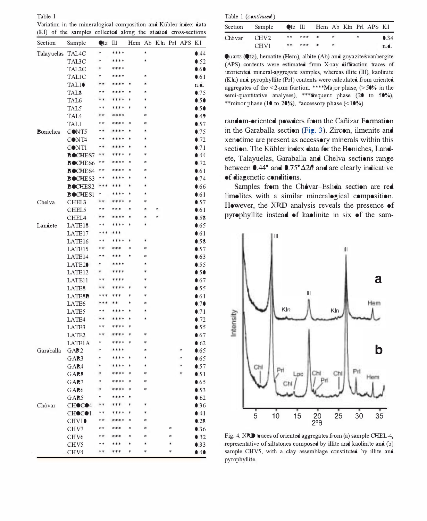Table 1 Variation in the mineralogical composition and Kübler index data (KI) of the samples collected along the studied cross-sections

| Section         | Sample              | QtZ    | Ш     | Hem    |        |        |        | Ab Kh Prl APS | ΚI            |
|-----------------|---------------------|--------|-------|--------|--------|--------|--------|---------------|---------------|
| Talayuelas      | TAL <sub>4</sub> C  | $\ast$ | ****  |        | $\ast$ |        |        |               | 0.44          |
|                 | TAL3C               | $\ast$ | ****  |        | $\ast$ |        |        |               | $\bullet$ .52 |
|                 | TAL2C               | $*$    | ****  |        |        |        |        |               | 0.60          |
|                 | TALIC               | $\ast$ | ****  |        | $\ast$ |        |        |               | 0.61          |
|                 | <b>TALIO</b>        | $***$  | ****  | $\ast$ | $\ast$ |        |        |               | n.d.          |
|                 | TAL <sup>8</sup>    | $***$  | ****  | $\ast$ | $\ast$ |        |        |               | 0.75          |
|                 | TAL6                | $**$   | ****  | $\ast$ | $\ast$ |        |        |               | 0.50          |
|                 | TAL5                | **     | ****  | $\ast$ | $\ast$ |        |        |               | 0.50          |
|                 | TAI.4               | $***$  | ****  |        | $\ast$ |        |        |               | 0.49          |
|                 | TALI                | $***$  | ****  | $*$    | $\ast$ |        |        |               | 0.57          |
| <b>Boniches</b> | CONT <sub>5</sub>   | $***$  | ****  | $\ast$ | $\ast$ |        |        |               | 0.75          |
|                 | CONT <sub>4</sub>   | $***$  | ****  | $\ast$ | $\ast$ |        |        |               | 0.72          |
|                 | CONT1               | $***$  | ****  | $\ast$ | $\ast$ |        |        |               | 0.71          |
|                 | <b>BOCHES7</b>      | $***$  | ****  | $\ast$ | $\ast$ |        |        |               | 0.44          |
|                 | <b>BOCHES6</b>      | $***$  | ****  | $\ast$ | $\ast$ |        |        |               | 0.72          |
|                 | <b>BOCHES4</b>      | $***$  | ****  | $\ast$ | $\ast$ |        |        |               | 0.61          |
|                 | <b>BOCHES3</b>      | $***$  | ****  | $*$    | $\ast$ |        |        |               | 0.74          |
|                 | <b>BOCHES2</b>      | ***    | ***   | $\ast$ | $\ast$ |        |        |               | 0.66          |
|                 | <b>BOCHESI</b>      | ∗      | ****  | $\ast$ | $\ast$ |        |        |               | 0.61          |
| Chelva          | CHEL3               | $***$  | ****  | $\ast$ | $\ast$ |        |        |               | 0.57          |
|                 | <b>CHEL5</b>        | $***$  | ***   | $\ast$ | $\ast$ | ∗      |        |               | 0.61          |
|                 | <b>CHEL4</b>        | $***$  | ****  | $\ast$ | $\ast$ | $\ast$ |        |               | 0.58          |
| Landete         | LATE <sub>18</sub>  | $***$  | ****  | $*$    | $\ast$ |        |        |               | 0.65          |
|                 | LATE17              | ***    | ***   |        |        |        |        |               | $\bullet$ .61 |
|                 | LATE <sub>16</sub>  | **     | ****  | $\ast$ | $\ast$ |        |        |               | 0.58          |
|                 | LATE15              | $***$  | ***   | $\ast$ | $\ast$ |        |        |               | 0.57          |
|                 | LATE <sub>14</sub>  | $***$  | ***   | $\ast$ | $\ast$ |        |        |               | 0.63          |
|                 | LATE20              | $\ast$ | ****  |        | $\ast$ |        |        |               | 0.55          |
|                 | LATE <sub>12</sub>  | $\ast$ | ****  |        | $\ast$ |        |        |               | 0.50          |
|                 | LATE <sub>1</sub>   | $***$  | ****  |        | $\ast$ |        |        |               | 0.67          |
|                 | LATE <sup>8</sup>   | $**$   | ****  | $\ast$ | $\ast$ |        |        |               | 0.55          |
|                 | LATE <sub>8</sub> B | ***    | ***   | $\ast$ | $\ast$ |        |        |               | 0.61          |
|                 | LATE6               | ***    | $***$ | $\ast$ | $\ast$ |        |        |               | 0.76          |
|                 | LATE5               | $***$  | ****  | $\ast$ | $\ast$ |        |        |               | 0.71          |
|                 | LATE4               | $***$  | ****  | $\ast$ | $\ast$ |        |        |               | 0.72          |
|                 | LATE3               | $***$  | ****  | $\ast$ |        |        |        |               | 0.55          |
|                 | LATE2               | $***$  | ****  | $\ast$ | $\ast$ |        |        |               | 0.67          |
|                 | LATEIA              | $\ast$ | ****  | $\ast$ | $\ast$ |        |        |               | 0.62          |
| Garaballa       | GAR2                | $*$    | ****  |        | $\ast$ |        |        | $\ast$        | 0.65          |
|                 | GAR3                | $\ast$ | ****  | $\ast$ | $\ast$ |        |        | $\ast$        | 0.65          |
|                 | GAR4                | $\ast$ | ****  | $\ast$ | $\ast$ |        |        | $\ast$        | 0.57          |
|                 | GAR8                | $\ast$ | ****  | $\ast$ | $\ast$ |        |        | $\ast$        | 0.51          |
|                 | GAR7                | $\ast$ | ****  | $\ast$ | $\ast$ |        |        |               | 0.65          |
|                 | GAR6                |        | ****  |        |        |        |        |               | 0.53          |
|                 | GAR5                | $\ast$ | ****  | $*$    |        |        |        |               | 0.62          |
| Chóvar          | СНОСО4              | $***$  | ***   |        | $\ast$ |        |        |               | 0.36          |
|                 | <b>CHOCO1</b>       | **     | ****  |        | $\ast$ |        |        |               | 0.41          |
|                 | <b>CHV10</b>        | $***$  | ****  | $\ast$ | $\ast$ |        |        |               | 0.28          |
|                 | CHV7                | $**$   | ***   | $\ast$ | $\ast$ |        | ∗      |               | 0.36          |
|                 | CHV <sub>6</sub>    | **     | ***   | $\ast$ | $\ast$ |        | $\ast$ |               | 0.32          |
|                 | CH <sub>V5</sub>    | **     | ***   | $\ast$ | $\ast$ |        | $\ast$ |               | 0.33          |
|                 | CHV4                | $***$  | ***   | $\ast$ | ∗      |        | ∗      |               | 0.40          |

|  | Table 1 (continued) |
|--|---------------------|
|--|---------------------|

|        | Section Sample Ctz Ill Hem Ab Kln Prl APS KI |          |  |  |      |
|--------|----------------------------------------------|----------|--|--|------|
| Chóvar | CHV <sub>2</sub>                             | ** *** * |  |  | 0.34 |
|        | CHV1                                         | ** *** * |  |  | n.d. |

 $Quartz$  ( $Qtz$ ), hematite (Hem), albite (Ab) and goyazite/svanbergite (APS) contents were estimated from X-ray diffraction traces of unoriented mineral-aggregate samples, whereas illite (Ill), kaolinite (Kln) and pyrophyllite (Prl) contents were calculated from oriented aggregates of the <2-µm fraction. \*\*\*\*Major phase,  $(>50%$  in the semi-quantitative analyses), \*\*\* frequent phase (20 to 50%), \*\*minor phase (10 to 20%), \*accessory phase  $($  10%).

random-oriented powders from the Cañizar Formation in the Garaballa section (Fig. 3). Zircon, ilmenite and xenotime are present as accessory minerals within this section. The Kübler index data for the Boniches, Landete, Talayuelas, Garaballa and Chelva sections range between 0.44° and 0.75°  $\Delta$ 20 and are clearly indicative of diagenetic conditions.

Samples from the Chóvar-Eslida section are red limolites with a similar mineralogical composition. However, the  $XRD$  analysis reveals the presence of pyrophyllite instead of kaolinite in six of the sam-



Fig. 4. XRD traces of oriented aggregates from (a) sample CHEL-4, representative of siltstones composed by illite and kaolinite and (b) sample CHV5, with a clay assemblage constituted by illite and pyrophyllite.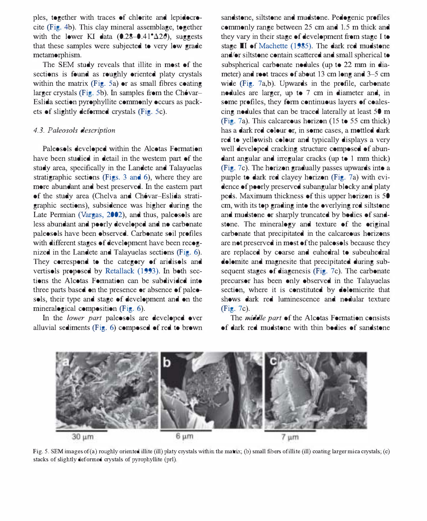ples, together with traces of chlorite and lepidocrocite (Fig. 4b). This clay mineral assemblage, together with the lower KI data  $(0.28-0.41^{\circ} \Delta 20)$ , suggests that these samples were subjected to very low grade metamorphism.

The SEM study reveals that illite in most of the sections is found as roughly oriented platy crystals within the matrix (Fig. 5a) or as small fibres coating larger crystals (Fig. 5b). In samples from the Chovar-Eslida section pyrophyllite commonly occurs as packets of slightly deformed crystals (Fig. 5c).

# 4.3. Paleosols description

Paleosols developed within the Alcotas Formation have been studied in detail in the western part of the study area, specifically in the Landete and Talayuelas stratigraphic sections (Figs. 3 and 6), where they are more abundant and best preserved. In the eastern part of the study area (Chelva and Ch6var-Eslida stratigraphic sections), subsidence was higher during the Late Permian (Vargas, 2002), and thus, paleosols are less abundant and poorly developed and no carbonate paleosols have been observed. Carbonate soil profiles with different stages of development have been recognized in the Landete and Talayuelas sections (Fig. 6). They correspond to the category of aridisols and vertisols proposed by Retallack (1993). In both sections the A1cotas Fonnation can be subdivided into three parts based on the presence or absence of paleosols, their type and stage of development and on the mineralogical composition (Fig. 6).

In the lower part paleosols are developed over alluvial sediments (Fig. 6) composed of red to brown sandstone, siltstone and mudstone. Pedogenic profiles commonly range between 25 cm and 1.5 m thick and they vary in their stage of development from stage I to stage II of Machette (1985). The dark red mudstone and/or siltstone contain scattered and small spherical to subspherical carbonate nodules (up to 22 mm in diameter) and root traces of about 13 cm long and 3-5 cm wide (Fig. 7a,b). Upwards in the profile, carbonate nodules are larger, up to 7 cm in diameter and, in some profiles, they form continuous layers of coalescing nodules that can be traced laterally at least 50 m (Fig. 7a). This calcareous horizon (15 to 55 cm thick) has a dark red colour or, in some cases, a mottled dark red to yellowish colour and typically displays a very well developed cracking structure composed of abundant angular and irregular cracks (up to 1 mm thick) (Fig. 7c). The horizon gradually passes upwards into a purple to dark red clayey horizon (Fig. 7a) with evidence of poorly preserved subangular blocky and platy peds. Maximum thickness of this upper horizon is 50 cm, with its top grading into the overlying red siltstone and mudstone or sharply truncated by bodies of sandstone. The mineralogy and texture of the original carbonate that precipitated in the calcareous horizons are not preserved in most of the paleosols because they are replaced by coarse and euhedral to subeuhedral dolomite and magnesite that precipitated during subsequent stages of diagenesis (Fig. 7c). The carbonate precursor has been only observed in the Talayuelas section, where it is constituted by dolomicrite that shows dark red luminescence and nodular texture (Fig. 7c).

The *middle part* of the A1cotas Formation consists of dark red mudstone with thin bodies of sandstone



Fig. 5. SEM images af(a) roughly oriented illite (ill) platy crystals within the matrix; (b) small fibers ofillite (ill) coating larger mica crystals; (c) stacks of slightly defonned crystals of pyrophyllite (prl).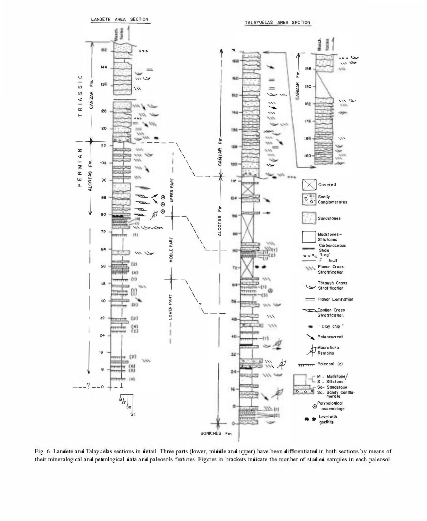

Fig. 6. Landete and Talayuelas sections in detail. Three parts (lower, middle and upper) have been differentiated in both sections by means of their mineralogical and petrological data and paleosols features. Figures in brackets indicate the number of studied samples in each paleosol.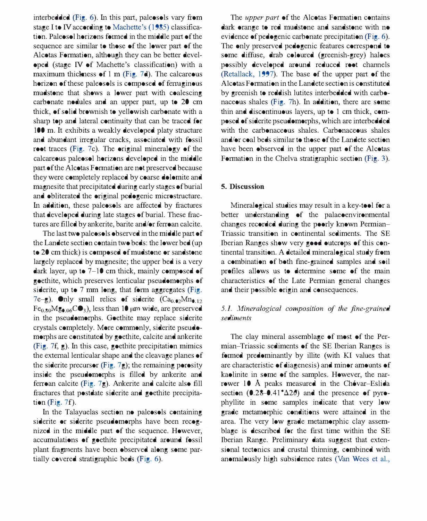interbedded (Fig. 6). In this part, paleosols vary from stage I to IV according to Machette's (1985) classification. Paleosol horizons formed in the middle part of the sequence are similar to those of the lower part of the Alcotas Formation, although they can be better developed (stage IV of Machette's classification) with a maximum thickness of 1 m (Fig. 7d). The calcareous horizon of these paleosols is composed of ferruginous mudstone that shows a lower part with coalescing carbonate nodules and an upper part, up to 20 cm thick, of solid brownish to yellowish carbonate with a sharp top and lateral continuity that can be traced for 100 m. It exhibits a weakly developed platy structure and abundant irregular cracks, associated with fossil root traces (Fig. 7c). The original mineralogy of the calcareous paleosol horizons developed in the middle part of the A1cotas Formation are not preserved because they were completely replaced by coarse dolomite and magnesite that precipitated during early stages of burial and obliterated the original pedogenic microstructure. In addition, these paleosols are affected by fractures that developed during late stages of burial. These fractures are filled by ankerite, barite and/or ferroan calcite.

The last two paleosols observed in the middle part of the Landete section contain two beds: the lower bed (up to 20 cm thick) is composed of mudstone or sandstone largely replaced by magnesite; the upper bed is a very dark layer, up to 7-10 cm thick, mainly composed of goethite, which preserves lenticular pseudomorphs of siderite, up to 7 mm long, that form aggregates (Fig. 7e-g). Only small relics of siderite  $(Ca_0, a_2Mn_{0.12})$  $Fe_{0.80}Mg_{0.06}CO_3$ ), less than 10  $\mu$ m wide, are preserved in the pseudomorphs. Goethite may replace siderite crystals completely. More commonly, siderite pseudomorphs are constituted by goethite, calcite and ankerite (Fig. 7f, g). In this case, goethite precipitation mimics the extemal lenticular shape and the cleavage planes of the siderite precursor (Fig. 7g); the remaining porosity inside the pseudomorphs is filled by ankerite and ferroan calcite (Fig. 7g). Ankerite and calcite also fill fractures that postdate siderite and goethite precipitation (Fig.  $7f$ ).

In the Talayuelas section no paleosols containing siderite or siderite pseudomorphs have been recognized in the middle part of the sequence. However, accumulations of goethite precipitated around fossil plant fragments have been observed along some partially covered stratigraphic beds (Fig.  $6$ ).

The *upper part* of the Alcotas Formation contains dark orange to red mudstone and sandstone with no evidence of pedogenic carbonate precipitation (Fig. 6). The only preserved pedogenic features correspond to some diffuse, drab coloured (greenish-grey) haloes possibly developed around reduced root channels (Retallack, 1997). The base of the upper part of the A1cotas Formation in the Landete section is constituted by greenish to reddish lutites interbedded with carbonaceous shales (Fig. 7h). In addition, there are some thin and discontinuous layers, up to 1 cm thick, composed of siderite pseudomorphs, which are interbedded with the carbonaceous shales. Carbonaceous shales and/or coal beds similar to those of the Landete section have been observed in the upper part of the Alcotas Formation in the Chelva stratigraphic section (Fig. 3).

# 5. Discussion

Mineralogical studies may result in a key-tool for a better understanding of the palaeoenvironmental changes recorded during the poorly known Permian-Triassic transition in continental sediments. The SE Iberian Ranges show very good outcrops of this continental transition. A detailed mineralogical study from a combination of both fine-grained samples and soil profiles allows us to determine some of the main characteristics of the Late Permian general changes and their possible origin and consequences.

# 5.1. Mineralogical composition of the fine-grained sediments

The clay mineral assemblage of most of the Permian-Triassic sediments of the SE Iberian Ranges is formed predominantly by illite (with KI values that are characteristic of diagenesis) and minor amounts of kaolinite in some of the samples. However, the narrower 10 Å peaks measured in the Chóvar-Eslida section (0.28-0.41 $^{\circ}$  $\Delta$ 20) and the presence of pyrophyllite in some samples indicate that very low grade metamorphic conditions were attained in the area. The very low grade metamorphic clay assemblage is described for the first time within the SE Iberian Range. Preliminary data suggest that extensional tectonics and crustal thinning, combined with anomalously high subsidence rates (Van Wees et aI.,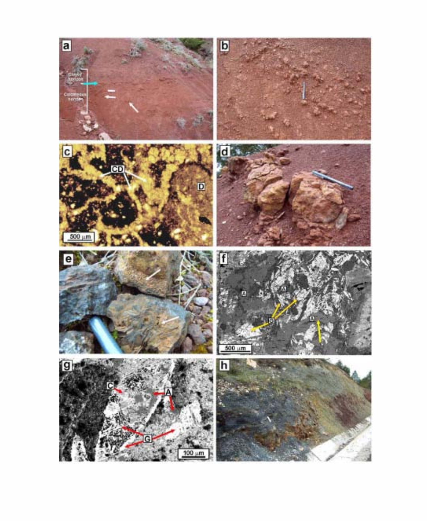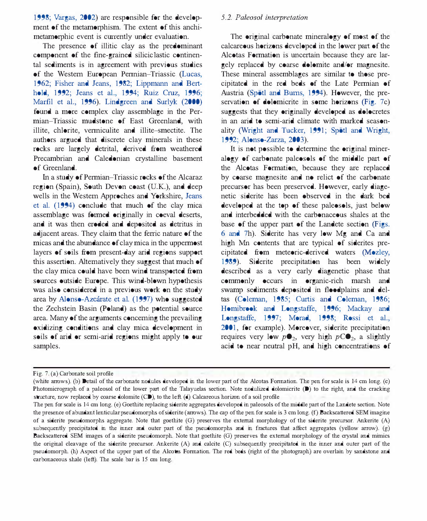1998; Vargas, 2002) are responsible for the development of the metamorphism. The extent of this anchimetamorphic event is currently under evaluation.

The presence of illitic clay as the predominant component of the fine-grained siliciclastic continental sediments is in agreement with previous studies of the Western European Pennian-Triassic (Lucas, 1962; Fisher and Jeans, 1982; Lippmann and Berthold, 1992; Jeans et aI., 1994; Ruiz Crnz, 1996; Marfil et aI., 1996). Lindgreen and Surlyk (2000) found a more complex clay assemblage in the Permian-Triassic mudstone of East Greenland, with illite, chlorite, venniculite and illite-smectite. The authors argued that discrete clay minerals in these rocks are largely detrital, derived from weathered Precambrian and Caledonian crystalline basement of Greenland.

In a study of Permian-Triassic rocks of the AJcaraz region (Spain), South Devon coast (U.K.), and deep wells in the Western Approches and Yorkshire, Jeans et al. (1994) conclude that much of the clay mica assemblage was formed originally in coeval deserts, and it was then eroded and deposited as detritus in adjacent areas. They claim that the ferric nature of the micas and the abundance of clay mica in the uppermost layers of soils from present-day arid regions support this assertion. Alternatively they suggest that much of the clay mica could have been wind transported from sources outside Europe. This wind-blown hypothesis was also considered in a previous work on the study area by Alonso-Azcarate et a1. (1997) who suggested the Zechstein Basin (poland) as the potential source area. Many of the arguments concerning the prevailing oxidizing conditions and clay mica development in soils of arid or semi-arid regions might apply to our samples.

# 5.2. Paleosol interpretation

The original carbonate mineralogy of most of the calcareous horizons developed in the lower part of the Alcotas Formation is uncertain because they are largely replaced by coarse dolomite and/or magnesite. These mineral assemblages are similar to those precipitated in the red beds of the Late Permian of Austria (Spotl and Burns, 1994). However, the preservation of dolomicrite in some horizons (Fig. 7c) suggests that they originally developed as dolocretes in an arid to semi-arid climate with marked seasonality (Wright and Tucker, 1991; Spotl and Wright, 1992; Alonso-Zarza, 2003).

It is not possible to determine the original mineralogy of carbonate paleosols of the middle part of the Alcotas Formation, because they are replaced by coarse magnesite and no relict of the carbonate precursor has been preserved. However, early diagenetic siderite has been observed in the dark bed developed at the top of these paleosols, just below and interbedded with the carbonaceous shales at the base of the upper part of the Landete section (Figs. 6 and 7h). Siderite has very low Mg and Ca and high Mn contents that are typical of siderites precipitated from meteoric-derived waters (Mozley, 1989). Siderite precipitation has been widely described as a very early diagenetic phase that commonly occurs in organic-rich marsh and swamp sediments deposited in floodplains and deltas (Coleman, 1985; Curtis and Coleman, 1986; Homibrook and Longstaffe, 1996; Mackay and Longstaffe, 1997; Morad, 1998; Rossi et aI., 2001, for example). Moreover, siderite precipitation requires very low  $p\bullet_2$ , very high  $pC\bullet_2$ , a slightly acid to near neutral pH, and high concentrations of

Fig. 7. (a) Carbonate soil profile

<sup>(</sup>white arrows). (b) Detail of the carbonate nodules developed in the lower part of the Alcotas Fonnation. The pen for scale is 14 cm long. (c) Photomicrograph of a paleosol of the lower part of the Talayuelas section. Note nodulized dolomicrite (D) to the right, and the cracking structure, now replaced by coarse dolomite  $(C\mathbb{D})$ , to the left. (d) Calcareous horizon of a soil profile

The pen for scale is 14 cm long. (e) Goethite replacing siderite aggregates developed in paleosols of the middle part of the Landete section. Note the presence of abundant lenticular pseudomorphs of siderite (arrows). The cap of the pen for scale is 3 cm long. (f) Backscattered SEM imagine of a siderite pseudomorphs aggregate. Note that goethite (G) preserves the external morphology of the siderite precursor. Ankerite (A) subsequently precipitated in the inner and outer part of the pseudomorphs and in fractures that affect aggregates (yellow arrow). (g) Backscattered SEM images of a siderite pseudomorph. Note that goethite (G) preserves the external morphology of the crystal and mimics the original cleavage of the siderite precursor. Ankerite (A) and calcite (C) subsequently precipitated in the inner and outer part of the pseudomorph. (h) Aspect of the upper part of the Alcotas Fonnation. The red beds (right of the photograph) are overlain by sandstone and carbonaceous shale (left). The scale bar is 15 cm long.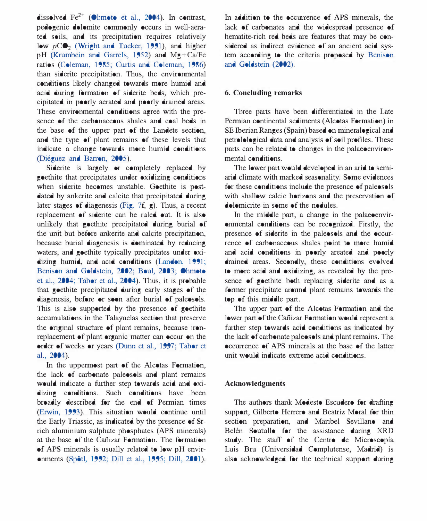dissolved  $Fe^{2+}$  (Ohmoto et al., 2004). In contrast, pedogenic dolomite commonly occurs in well-aerated soils, and its precipitation requires relatively low  $pC\bullet$  (Wright and Tucker, 1991), and higher pH (Krumbein and Garrels, 1952) and Mg+Ca/Fe ratios (Coleman, 1985; Curtis and Coleman, 1986) than siderite precipitation. Thus, the environmental conditions likely changed towards more humid and acid during formation of siderite beds, which precipitated in poorly aerated and poorly drained areas. These environmental conditions agree with the presence of the carbonaceous shales and coal beds in the base of the upper part of the Landete section, and the type of plant remains of these levels that indicate a change towards more humid conditions (Di6guez and Barron, 2005).

Siderite is largely or completely replaced by goethite that precipitates under oxidizing conditions when siderite becomes unstable. Goethite is postdated by ankerite and calcite that precipitated during later stages of diagenesis (Fig. 7f, g). Thus, a recent replacement of siderite can be ruled out. It is also unlikely that goethite precipitated during burial of the unit but before ankerite and calcite precipitation, because burial diagenesis is dominated by reducing waters, and goethite typically precipitates under  $\bullet$ xidizing humid, and acid conditions (Landon, 1991; Benison and Goldstein, 2002; Boul, 2003; Ohmoto et aI., 2004; Tabor et aI., 2004). Thus, it is probable that goethite precipitated during early stages of the diagenesis, before or soon after burial of paleosols. This is also supported by the presence of goethite accumulations in the Talayuelas section that preserve the original structure of plant remains, because ironreplacement of plant organic matter can occur on the order of weeks or years (Dunn et al., 1997; Tabor et aI., 2004).

In the uppermost part of the Alcotas Formation, the lack of carbonate paleosols and plant remains would indicate a further step towards acid and oxidizing conditions. Such conditions have been broadly described for the end of Permian times (Erwin, 1993). This situation would continue until the Early Triassic, as indicated by the presence of Srrich aluminium sulphate phosphates (APS minerals) at the base of the Cañizar Formation. The formation of APS minerals is usually related to low pH environments (Spötl, 1992; Dill et al., 1995; Dill, 2001). In addition to the occurrence of APS minerals, the lack of carbonates and the widespread presence of hematite-rich red beds are features that may be considered as indirect evidence of an ancient acid system according to the criteria proposed by Benison and Goldstein (2002).

# 6. Concluding remarks

Three parts have been differentiated in the Late Permian continental sediments (A1cotas Formation) in SE Iberian Ranges (Spain) based on minemlogical and petrolological data and analysis of soil profiles. These parts can be related to changes in the palaeoenvironmental conditions.

The lower part would developed in an arid to semiarid climate with marked seasonality. Some evidences for these conditions include the presence of paleosols with shallow calcic horizons and the preservation of dolomicrite in some of the nodules.

In the middle part, a change in the palaeoenvironmental conditions can be recognized. Firstly, the presence of siderite in the paleosols and the occurrence of carbonaceous shales point to more humid and acid conditions in poorly areated and poorly drained areas. Secondly, these conditions evolved to more acid and oxidizing, as revealed by the presence of goethite both replacing siderite and as a former precipitate around plant remains towards the top of this middle part.

The upper part of the A1cotas Formation and the lower part of the Cañizar Formation would represent a further step towards acid conditions as indicated by the lack of carbonate paleosols and plant remains. The occurrence of APS minerals at the base of the latter unit would indicate extreme acid conditions.

#### Acknowledgments

The authors thank Modesto Escudero for drafting support, Gilberto Herrero and Beatriz Moral for thin section preparation, and Maribel Sevillano and Belén Soutullo for the assistance during XRD study. The staff of the Centro de Microscopia Luis Bm (Universidad Complutense, Madrid) is also acknowledged for the technical support during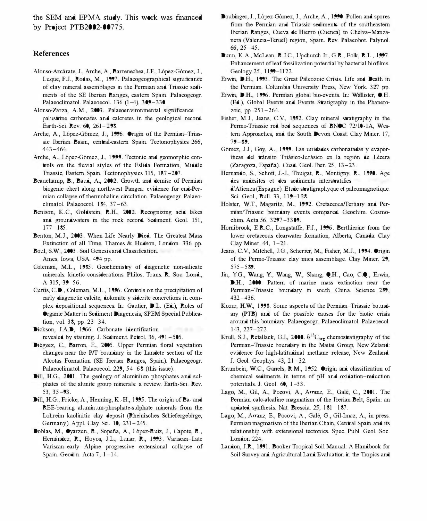the SEM and EPMA study. This work was fmanced by Project PTB2002-00775.

# References

- Alonso-Azcárate, J., Arche, A., Barrenechea, J.F., López-Gómez, J., Luque, F.1., Rodas, M., 1997. Palaeogeographical significance of clay mineral assemblages in the Pennian and Triassic sediments of the SE Iberian Ranges, eastern Spain. Palaeogeogr. Palaeoclimatol. Palaeoecol. 136  $(1-4)$ , 309-330.
- Alonso-Zarza, A.M., 2003. Palaeoenvironmental significance palustrine carbonates and calcretes in the geological record. Earth-Sci. Rev. 60, 261-298.
- Arche, A., López-Gómez, J., 1996. Origin of the Permian-Triassic Iberian Basin, central-eastern Spain. Tectonophysics 266, 443-464.
- Arche, A., López-Gómez, J., 1999. Tectonic and geomorphic controls on the fluvial styles of the Eslida Fonnation, Middle Triassic, Eastern Spain. Tectonophysics 315, 187-207.
- Beauchamp, B., Baud, A., 2002. Growth and demise of Permian biogenic chert along northwest Pangea: evidence for end-Permian collapse of thennohaline circulation. Palaeogeogr. Palaeoclimatol. Palaeoecol. 184, 37-63.
- Benison, K.c., Goldstein, RH., 2002. Recognizing acid lakes and groundwaters in the rock record. Sediment. Geol. 151,  $177 - 185$ .
- Benton, M.J., 2003. When Life Nearly Died. The Greatest Mass Extinction of all Time. Thames & Hudson, London. 336 pp.

Ames, Iowa, USA. 494 pp.

- Coleman, M.L., 1985. Geochemistry of diagenetic non-silicate minerals: kinetic considerations. Philos. Trans. R. Soc. Lond., A 315, 39-56.
- Curtis, C.D., Coleman, M.L., 1986. Controls on the precipitation of early diagenetic calcite, dolomite y siderite concretions in complex depositional sequences. In: Gautier, D.L. (Bd.), Roles of Organic Matter in Sediment Diagenesis, SPEM Special Publication, vol. 38, pp. 23-34.
- Dickson, J.A.D, 1966. Carbonate identification revealed by staining. J. Sediment. Petrol.  $36, 491 - 505$ .
- Diéguez, C., Barron, E., 2005. Upper Permian floral vegetation changes near the P/T boundary in the Landete section of the Alcotas Fonnation (SE Iberian Ranges, Spain). Palaeogeogr. Palaeoclimatol. Palaeoecol. 229, 54-68 (this issue).
- Dill, H.G., 2001. The geology of aluminium phosphates and sulphates of the ahmite group minerals: a review. Earth-Sci. Rev. 53, 35-93.
- Dill, H.G., Fricke, A., Henning, K.-H., 1995. The origin of Ba- and REE-bearing aluminum-phosphate-sulphate minerals from the Lohreim kaolinitic clay deposit (Rheinisches Schiefergebirge, Germany). Appl. Clay Sci. 10, 231-245.
- Doblas, M., Oyarzun, R., Sopeña, A., López-Ruiz, J., Capote, R., Hernández, R., Hoyos, J.L., Lunar, R., 1993. Variscan-Late Variscan-early Alpine progressive extensional collapse of Spain. Geodin. Acta 7, 1-14.
- Doubinger, 1., L6pez-G6mez, 1., Arche, A., 1990. Pollen and spores from the Pennian and Triassic sediments of the southeastern Iberian Ranges, Cueva de Hierro (Cuenca) to Chelva-Manzanera (Valencia-Teruel) region, Spain. Rev. Palaeobot. Palynol.  $66, 25 - 45.$
- Dunn, K.A., McLean, R.J.C., Upchurch Jr., G.R., Folk, R.L., 1997. Enhancement of leaf fossilization potential by bacterial biofilms. Geology 25, 1199-1122.
- Erwin, D.H., 1993. The Great Paleozoic Crisis. Life and Death in the Permian. Columbia University Press, New York. 327 pp.
- Erwin, D.H., 1996. Permian global bio-events. In: Wallister, O.H. (Bd.), Global Events and Events Stratigraphy in the Phanerozoic, pp. 251-264.
- Fisher, M.J., Jeans, C.V., 1982. Clay mineral stratigraphy in the Permo-Triassic red bed sequences of BNOC 72/10-1A, Western Approaches, and the South Devon Coast. Clay Miner. 17,  $79 - 89.$
- Gómez, J.J., Goy, A., 1999. Las unidades carbonatadas y evaporíticas del tránsito Triásico-Jurásico en la región de Lécera (Zaragoza, España). Cuad. Geol. Iber. 25, 13-23.
- Hernando, S., Schott, J.-J., Thuigat, R., Montigny, R., 1980. Age des andesites et des sediments interstratifies d' Atienza (Bspagne): Etude stratigraphyque et paleomagnetique. Sci. Geol., Bull. 33, 119-128.
- Holster, W.T., Magaritz, M., 1992. Cretaceous/Tertiary and Permian/Triassic boundary events compared. Geochim. Cosmochim. Acta 56, 3297-3309.
- Hornibrook, E.R.C., Longstaffe, F.J., 1996. Berthierine from the lower cretaceous cleanvater fonnation, Alberta, Canada. Clay Clay Miner. 44, 1-21.
- Boul, S.W., 2003. Soil Genesis and Classification. Isaas, C.V., Mitchell, J.G., Scherrer, M., Fisher, M.J., 1994. Origin of the Penno-Triassic clay mica assemblage. Clay Miner. 29,  $575 - 589$ .
	- Jin, Y.G., Wang, Y., Wang, W., Shang, Q.H., Cao, C.Q., Erwin, DH., 2000. Pattern of marine mass extinction near the Permian-Triassic boundary in south China. Science 289,  $432 - 436.$
	- Kozur, H.W., 1998. Some aspects of the Permian-Triassic boundary (PIE) and of the possible causes for the biotic crisis around this boundary. Palaeogeogr. Palaeoclimatol. Palaeoecol. 143, 227-272.
	- Krull, S.J., Retallack, G.J., 2000.  $\delta^{13}C_{org}$  chemostratigraphy of the Pennian-Triassic boundary in the Maitai Group, New Zeland: evidence for high-latitudinal methane release, New Zealand. J. Geol. Geophys.  $43, 21-32$ .
	- Knunbein, W.C., Garrels, R.M., 1952. Origin and classification of chemical sediments in tenns of pH and oxidation-reduction potentials. 1. Geol. 60, 1-33.
	- Lago, M., Gil, A., Pocovi, A., Arranz, E., Gale, C., 2001. The Pennian calc-alcaline magmatism of the Iberian Belt, Spain: an updated synthesis. Nat. Brescia. 25, 181-187.
	- Lago, M., Arranz, E., Pocovi, A., Gale, G., Gil-Imaz, A., in press. Pennian magmatism of the Iberian Chain, Central Spain and its relationship with extensional tectonics. Spec. Publ. Geol. Soc. London 224.
	- Landon, J.R., 1991. Booker Tropical Soil Manual: A Handbook for Soil Survey and Agricultural Land Evaluation in the Tropics and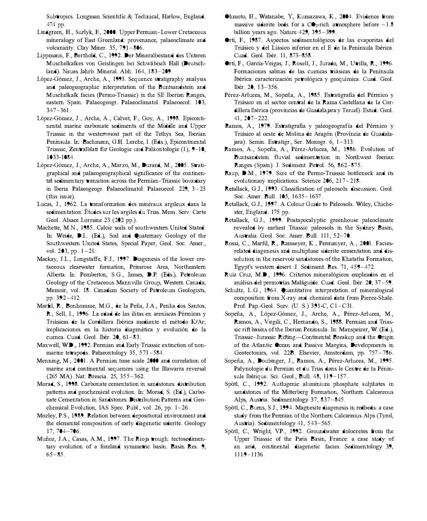Subtropics. Longman Scientific & Teclmical, Harlow, England. 474 pp.

- Lindgreen, H., Surlyk, F, 2000. Upper Pennian-Lower Cretaceous mineralogy of East Greenland: provenance, palaeoclimate and volcanicity. Clay Miner. 35, 791-806.
- Lippmann, F, Berthold, C., 1992. Der Mineralbestand des Unteren Muschelkalkes von Geislingen bei Schwäbisch Hall (Deutschland). Neues lahrb. Mineral. Abh. 164, 183-209.
- López-Gómez, J., Arche, A., 1993. Sequence stratigraphy analysis and paleogeographic interpretation of the Buntsandstein and Muschelkalk facies (penno-Triassic) in the SE Iberian Ranges, eastern Spain. Palaeogeogr. Palaeoclimatol. Palaeoecol. 103, 347-361.
- López-Gómez, J., Arche, A., Calvet, F., Goy, A., 1998. Epicontinental marine carbonate sediments of the Middle and Upper Triassic in the westernmost part of the Tethys Sea, Iberian Peninsula. In: Bachmann, G.H. Lerche, I. (Bds.), Epicontinental Triassic, Zentralblatt für Geologie und Paläontologie (1), 9-10, 1033-1084.
- López-Gómez, J., Arche, A., Marzo, M., Durand, M., 2005. Stratigraphical and palaeogeographical significance of the continental sedimentary transition across the Permian-Triassic boundary in Iberia. Palaeogeogr. Palaeoclimatol. Palaeoecol. 229, 3 -23 (this issue).
- Lucas, J., 1962. La transformation des minéraux argileux dans la sedimentation: Êtudes sur les argiles du Trias. Mem. Serv. Carte Geol. Alsace Lorraine 23 (202 pp.).
- Machette, M.N., 1985. Calcic soils of southwestern United Stated. In: Weide, D.L. (Bd.), Soil and Quaternary Geology of the Southwestern United States, Special Paper, Geol. Soc. Amer., vol. 203, pp. 1-21.
- Mackay, l.L., Longstaffe, F.1., 1997. Diagenesis of the lower cretaceous cleanvater fonnation, Primrose Area, Northeastern Alberta. In: Pemberton, S.G., James, D.P. (Eds.), Petroleum Geology of the Cretaceous Mannville Group, Western Canada, Memoir, vol. 18. Canadian Society of Petroleum Geologists, pp. 392-412.
- Marfil, R, Bonhomme, M.G., de la Pefia, l.A., Penha dos Santos, R., Sell, I., 1996. La edad de las ilitas en areniscas Pérmicas y Triásicas de la Cordillera Ibérica mediante el método K/Ar; implicaciones en la historia diagenética y evolución de la cuenca. Cuad. Geol. Iber. 20, 61-83.
- Maxwell, W.D., 1992. Pennian and Early Triassic extinction of nonmarine tetrapods. Palaeontology 35, 571-584.
- Menning, M., 2001. A Pennian time scale 2000 and correlation of marine and continental sequences using the Illawarra reversal (265 MA). Nat. Brescia. 25, 355-362.
- Morad, S., 1998. Carbonate cementation in sandstones: distribution patterns and geochemical evolution. In: Morad, S. (Bd.), Carbonate Cementation in Sandstones: Distribution Patterns and Geochemical Evolution, IAS Spec. Publ., vol. 26, pp. 1-26.
- Mozley, P.S., 1989. Relation between depositional environment and the elemental composition of early diagenetic siderite. Geology 17, 704-706.
- Mufioz, l.A., Casas, A.M., 1997. The Rioja trough: tectosedimentary evolution of a foreland symmetric basin. Basin Res. 9, 65-85.
- Ohmoto, H., Watanabe, Y., Kumazawa, K., 2004. Evidence from massive siderite beds for a  $CO_2$ -rich atmosphere before ~1.8 billion years ago. Nature 429, 395-399.
- Orti, F, 1987. Aspectos sedimentol6gicos de las evaporitas del Triásico y del Liásico inferior en el E de la Península Ibérica. Cuad. Geol. Ibér. 11, 873-858.
- Orti, F., Garcia-Veigas, l., Rosell, l., lurado, M., Utrilla, R, 1996. Formaciones salinas de las cuencas triásicas de la Península Ibérica: caracterización petrológica y geoquímica. Cuad. Geol. Iber. 20, 13-356.
- Pérez-Arlucea, M., Sopeña, A., 1985. Estratigrafía del Pérmico y Triásico en el sector central de la Rama Castellana de la Cordillera Ibérica (provincias de Guadalajara y Teruel). Estud. Geol. 41, 207-222.
- Ramos, A., 1979. Estratigrafia y paleogeografía del Pérmico y Triásico al oeste de Molina de Aragón (Província de Guadalajara). Semin. Estratigr., Ser. Monogr. 6, 1-3 13.
- Ramos, A., Sopeña, A., Pérez-Arlucea, M., 1986. Evolution of Buntsandstein fluvial sedimentation in Northwest Iberian Ranges (Spain). J. Sediment. Petrol. 56, 862-875.
- Raup, D.M., 1979. Size of the Penno-Triassic bottleneck and its evolutionary implications. Science 206, 217-218.
- Retallack, G.J., 1993. Classification of paleosols: discussion. Geol. Soc. Amer. Bull. 105, 1635- 1637.
- Retallack, G.1., 1997. A Colour Guide to Paleosols. Wiley, Chichester, England. 175 pp.
- Retallack, G.l., 1999. Postapocalyptic greenhouse paleoclimate revealed by earliest Triassic paleosols in the Sydney Basin, Australia. Geol. Soc. Amer. Bull. 111, 52-70.
- Rossi, C., Marfil, R, Ramseyer, K., Pennanyer, A., 200l. Faciesrelated diagenesis and multiphase siderite cementation and dissolution in the reservoir sandstones of the Khatatba Formation, Egypt's western desert. J. Sediment. Res. 71, 459-472.
- Ruiz Cruz, M.D., 1996. Criterios mineral6gicos empleados en el análisis del permotrías Maláguide. Cuad. Geol. Ibér. 20, 37-59.
- Schultz, L.G., 1964. Quantitative interpretation of mineralogical composition from X-ray and chemical data from Pierce-Shale. Prof. Pap.-Geol. Surv. (U. S.) 391-C, C1-C31.
- Sopeña, A., López-Gómez, J., Arche, A., Pérez-Arlucea, M., Ramos, A., Virgili, C., Hernando, S., 1988. Pennian and Triassic rift basins of the Iberian Peninsula. In: Manspeizer, W. (Bd.), Triassic-lurassic Rifting-Continental Breakup and the Origin of the Atlantic Ocean and Passive Margins, Developments in Geotectonics, vol. 22B. Elsevier, Amsterdam, pp. 757-786.
- Sopeña, A., Doubinger, J., Ramos, A., Pérez-Arlucea, M., 1995. Palynologie du Permian et du Trias dans le Centre de la Péninsule Ibérique. Sci. Geol., Bull. 48, 119-157.
- Spötl, C., 1992. Authigenic aluminium phosphate sulphates in sandstones of the Mitterberg Fonnation, Northern Calcareous Alps, Austria. Sedimentology 37, 837-845.
- Spotl, C., Burns, S.1., 1994. Magnesite diagenesis in redbeds: a case study from the Pennian of the Northern Calcareous Alps (Tyrol, Austria). Sedimentology 41, 543-565.
- Spötl, C., Wright, VP., 1992. Groundwater dolocretes from the Upper Triassic of the Paris Basin, France: a case study of an arid, continental diagenetic facies. Sedimentology 39, 1119-1136.